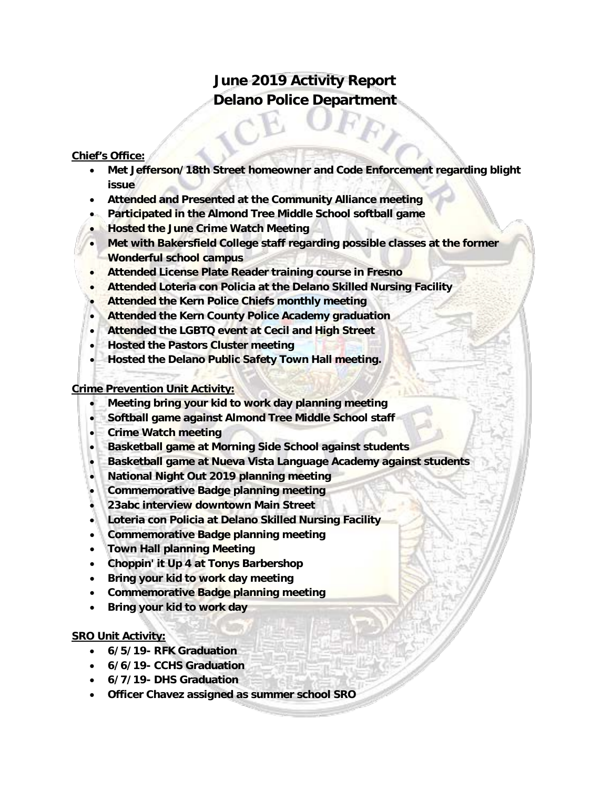# **June 2019 Activity Report Delano Police Department**

#### **Chief's Office:**

- **Met Jefferson/18th Street homeowner and Code Enforcement regarding blight issue**
- **Attended and Presented at the Community Alliance meeting**
- **Participated in the Almond Tree Middle School softball game**
- **Hosted the June Crime Watch Meeting**
- **Met with Bakersfield College staff regarding possible classes at the former Wonderful school campus**
- **Attended License Plate Reader training course in Fresno**
- **Attended Loteria con Policia at the Delano Skilled Nursing Facility**
- **Attended the Kern Police Chiefs monthly meeting**
- **Attended the Kern County Police Academy graduation**
- **Attended the LGBTQ event at Cecil and High Street**
- **Hosted the Pastors Cluster meeting**
- **Hosted the Delano Public Safety Town Hall meeting.**

### **Crime Prevention Unit Activity:**

- **Meeting bring your kid to work day planning meeting**
- **Softball game against Almond Tree Middle School staff**
- **Crime Watch meeting**
- **Basketball game at Morning Side School against students**
- **Basketball game at Nueva Vista Language Academy against students**
- **National Night Out 2019 planning meeting**
- **Commemorative Badge planning meeting**
- **23abc interview downtown Main Street**
- **Loteria con Policia at Delano Skilled Nursing Facility**
- **Commemorative Badge planning meeting**
- **Town Hall planning Meeting**
- **Choppin' it Up 4 at Tonys Barbershop**
- **Bring your kid to work day meeting**
- **Commemorative Badge planning meeting**
- **Bring your kid to work day**

### **SRO Unit Activity:**

- **6/5/19- RFK Graduation**
- **6/6/19- CCHS Graduation**
- **6/7/19- DHS Graduation**
- **Officer Chavez assigned as summer school SRO**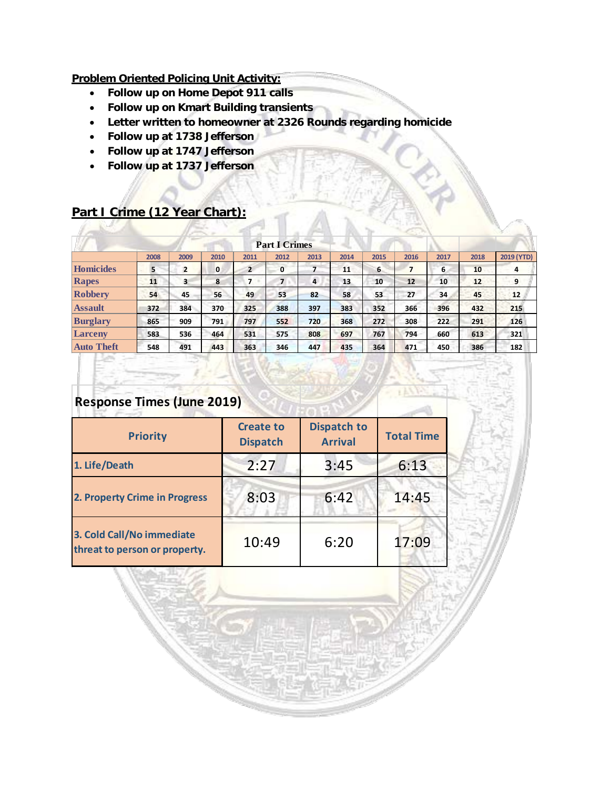### **Problem Oriented Policing Unit Activity:**

- **Follow up on Home Depot 911 calls**
- **Follow up on Kmart Building transients**
- **Letter written to homeowner at 2326 Rounds regarding homicide**
- **Follow up at 1738 Jefferson**
- **Follow up at 1747 Jefferson**
- **Follow up at 1737 Jefferson**

## **Part I Crime (12 Year Chart):**

| <b>Part I Crimes</b> |      |      |      |                |              |      |      |      |      |      |      |            |  |
|----------------------|------|------|------|----------------|--------------|------|------|------|------|------|------|------------|--|
|                      | 2008 | 2009 | 2010 | 2011           | 2012         | 2013 | 2014 | 2015 | 2016 | 2017 | 2018 | 2019 (YTD) |  |
| Homicides            | 5    | 2    | 0    | $\overline{2}$ | $\mathbf{0}$ |      | 11   | 6    | 7    | 6    | 10   | 4          |  |
| Rapes                | 11   | 3    | 8    | 7              | 7            | 4    | 13   | 10   | 12   | 10   | 12   | 9          |  |
| <b>Robbery</b>       | 54   | 45   | 56   | 49             | 53           | 82   | 58   | 53   | 27   | 34   | 45   | 12         |  |
| <b>Assault</b>       | 372  | 384  | 370  | 325            | 388          | 397  | 383  | 352  | 366  | 396  | 432  | 215        |  |
| <b>Burglary</b>      | 865  | 909  | 791  | 797            | 552          | 720  | 368  | 272  | 308  | 222  | 291  | 126        |  |
| Larceny              | 583  | 536  | 464  | 531            | 575          | 808  | 697  | 767  | 794  | 660  | 613  | 321        |  |
| <b>Auto Theft</b>    | 548  | 491  | 443  | 363            | 346          | 447  | 435  | 364  | 471  | 450  | 386  | 182        |  |

## **Response Times (June 2019)**

| <b>Priority</b>                                            | <b>Create to</b><br><b>Dispatch</b> | <b>Dispatch to</b><br><b>Arrival</b> | <b>Total Time</b> |
|------------------------------------------------------------|-------------------------------------|--------------------------------------|-------------------|
| 1. Life/Death                                              | 2:27                                | 3:45                                 | 6:13              |
| 2. Property Crime in Progress                              | 8:03                                | 6:42                                 | 14:45             |
| 3. Cold Call/No immediate<br>threat to person or property. | 10:49                               | 6:20                                 | 17:09             |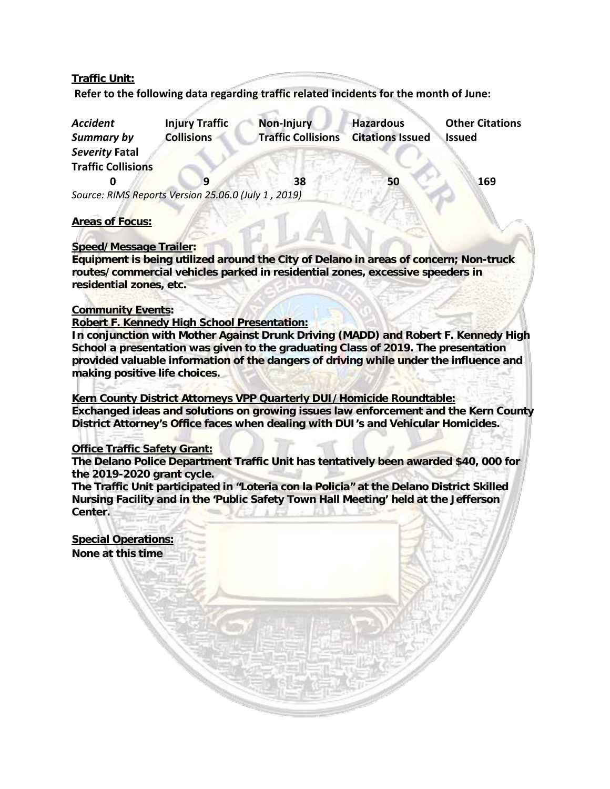#### **Traffic Unit:**

**Refer to the following data regarding traffic related incidents for the month of June:** 

| <b>Accident</b><br><b>Summary by</b>                | <b>Injury Traffic</b><br><b>Collisions</b> | Non-Injury<br><b>Traffic Collisions</b> | <b>Hazardous</b><br><b>Citations Issued</b> | <b>Other Citations</b><br><b>Issued</b> |
|-----------------------------------------------------|--------------------------------------------|-----------------------------------------|---------------------------------------------|-----------------------------------------|
| Severity Fatal                                      |                                            |                                         |                                             |                                         |
| <b>Traffic Collisions</b>                           |                                            |                                         |                                             |                                         |
|                                                     |                                            | 38                                      | 50                                          | 169                                     |
| Source: RIMS Reports Version 25.06.0 (July 1, 2019) |                                            |                                         |                                             |                                         |

#### **Areas of Focus:**

#### **Speed/Message Trailer:**

**Equipment is being utilized around the City of Delano in areas of concern; Non-truck routes/commercial vehicles parked in residential zones, excessive speeders in residential zones, etc.**

#### **Community Events:**

#### **Robert F. Kennedy High School Presentation:**

**In conjunction with Mother Against Drunk Driving (MADD) and Robert F. Kennedy High School a presentation was given to the graduating Class of 2019. The presentation provided valuable information of the dangers of driving while under the influence and making positive life choices.** 

**Kern County District Attorneys VPP Quarterly DUI/Homicide Roundtable: Exchanged ideas and solutions on growing issues law enforcement and the Kern County District Attorney's Office faces when dealing with DUI's and Vehicular Homicides.**

#### **Office Traffic Safety Grant:**

**Special Operations: None at this time**

**The Delano Police Department Traffic Unit has tentatively been awarded \$40, 000 for the 2019-2020 grant cycle.** 

**The Traffic Unit participated in "Loteria con la Policia" at the Delano District Skilled Nursing Facility and in the 'Public Safety Town Hall Meeting' held at the Jefferson Center.**